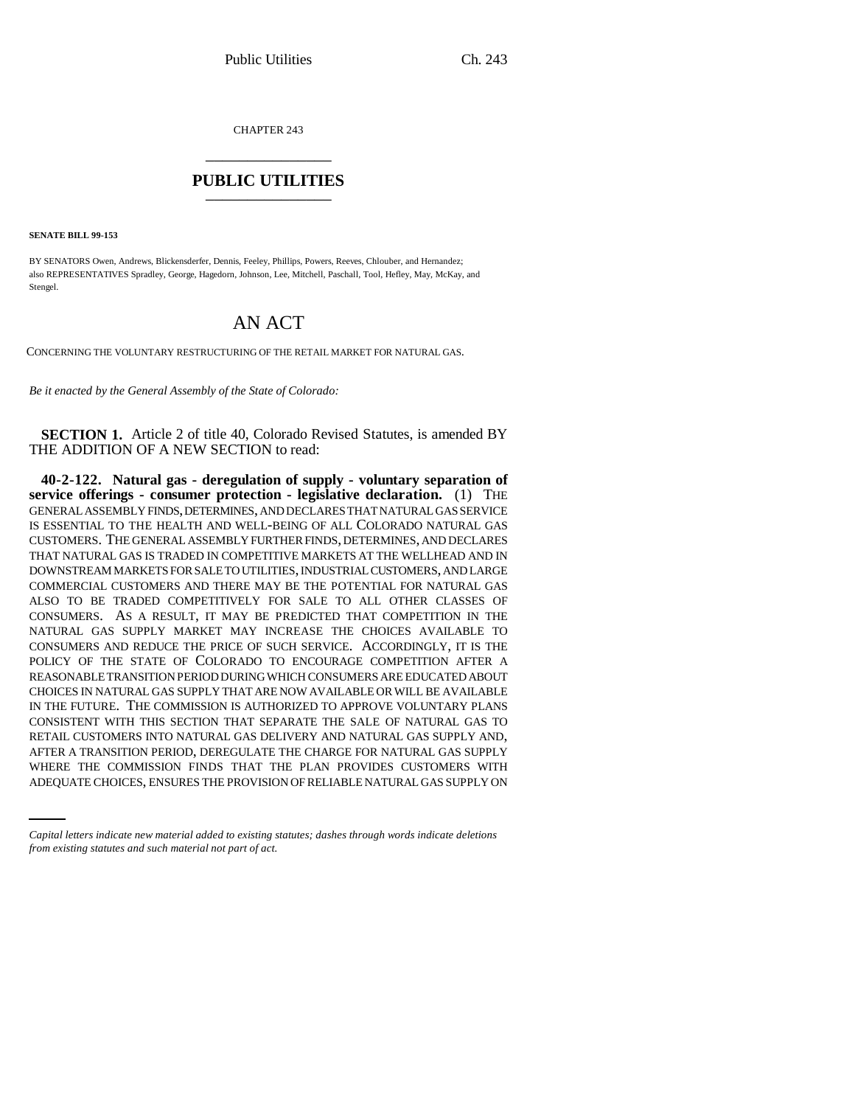CHAPTER 243 \_\_\_\_\_\_\_\_\_\_\_\_\_\_\_

## **PUBLIC UTILITIES** \_\_\_\_\_\_\_\_\_\_\_\_\_\_\_

**SENATE BILL 99-153** 

BY SENATORS Owen, Andrews, Blickensderfer, Dennis, Feeley, Phillips, Powers, Reeves, Chlouber, and Hernandez; also REPRESENTATIVES Spradley, George, Hagedorn, Johnson, Lee, Mitchell, Paschall, Tool, Hefley, May, McKay, and Stengel.

# AN ACT

CONCERNING THE VOLUNTARY RESTRUCTURING OF THE RETAIL MARKET FOR NATURAL GAS.

*Be it enacted by the General Assembly of the State of Colorado:*

**SECTION 1.** Article 2 of title 40, Colorado Revised Statutes, is amended BY THE ADDITION OF A NEW SECTION to read:

AFTER A TRANSITION PERIOD, DEREGULATE THE CHARGE FOR NATURAL GAS SUPPLY **40-2-122. Natural gas - deregulation of supply - voluntary separation of service offerings - consumer protection - legislative declaration.** (1) THE GENERAL ASSEMBLY FINDS, DETERMINES, AND DECLARES THAT NATURAL GAS SERVICE IS ESSENTIAL TO THE HEALTH AND WELL-BEING OF ALL COLORADO NATURAL GAS CUSTOMERS. THE GENERAL ASSEMBLY FURTHER FINDS, DETERMINES, AND DECLARES THAT NATURAL GAS IS TRADED IN COMPETITIVE MARKETS AT THE WELLHEAD AND IN DOWNSTREAM MARKETS FOR SALE TO UTILITIES, INDUSTRIAL CUSTOMERS, AND LARGE COMMERCIAL CUSTOMERS AND THERE MAY BE THE POTENTIAL FOR NATURAL GAS ALSO TO BE TRADED COMPETITIVELY FOR SALE TO ALL OTHER CLASSES OF CONSUMERS. AS A RESULT, IT MAY BE PREDICTED THAT COMPETITION IN THE NATURAL GAS SUPPLY MARKET MAY INCREASE THE CHOICES AVAILABLE TO CONSUMERS AND REDUCE THE PRICE OF SUCH SERVICE. ACCORDINGLY, IT IS THE POLICY OF THE STATE OF COLORADO TO ENCOURAGE COMPETITION AFTER A REASONABLE TRANSITION PERIOD DURING WHICH CONSUMERS ARE EDUCATED ABOUT CHOICES IN NATURAL GAS SUPPLY THAT ARE NOW AVAILABLE OR WILL BE AVAILABLE IN THE FUTURE. THE COMMISSION IS AUTHORIZED TO APPROVE VOLUNTARY PLANS CONSISTENT WITH THIS SECTION THAT SEPARATE THE SALE OF NATURAL GAS TO RETAIL CUSTOMERS INTO NATURAL GAS DELIVERY AND NATURAL GAS SUPPLY AND, WHERE THE COMMISSION FINDS THAT THE PLAN PROVIDES CUSTOMERS WITH ADEQUATE CHOICES, ENSURES THE PROVISION OF RELIABLE NATURAL GAS SUPPLY ON

*Capital letters indicate new material added to existing statutes; dashes through words indicate deletions from existing statutes and such material not part of act.*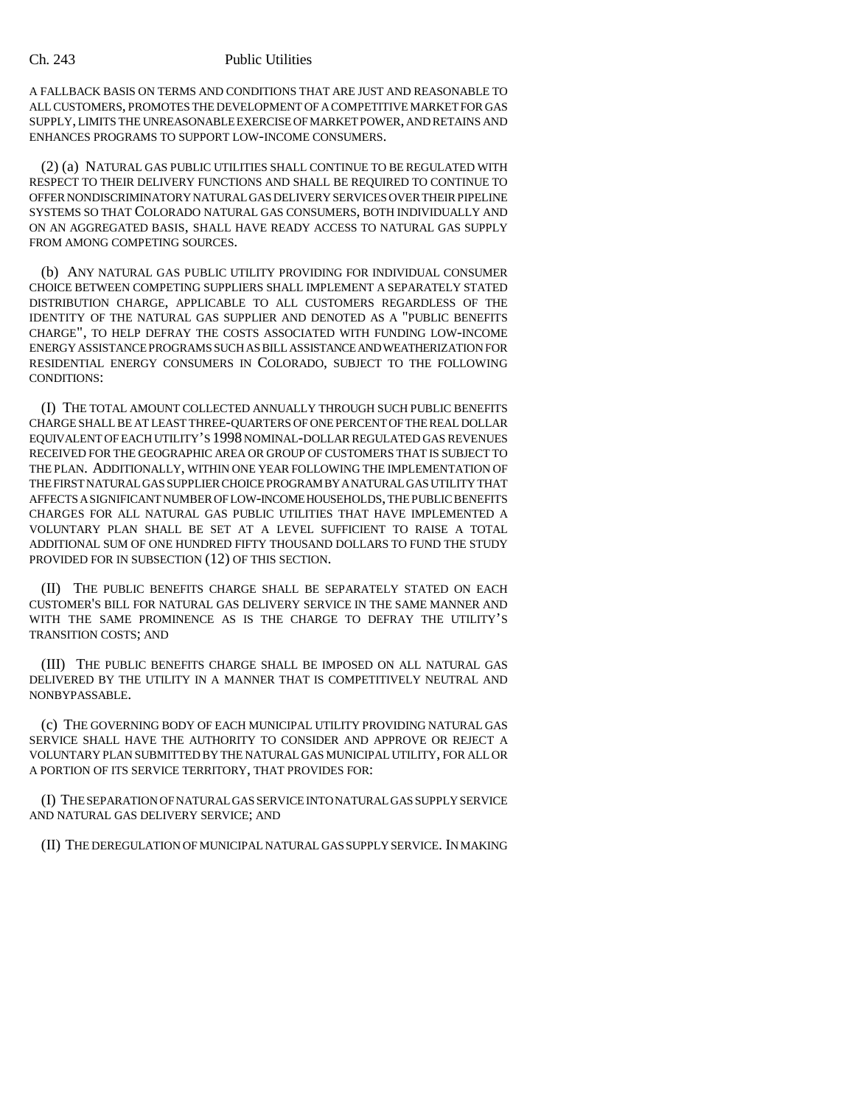A FALLBACK BASIS ON TERMS AND CONDITIONS THAT ARE JUST AND REASONABLE TO ALL CUSTOMERS, PROMOTES THE DEVELOPMENT OF A COMPETITIVE MARKET FOR GAS SUPPLY, LIMITS THE UNREASONABLE EXERCISE OF MARKET POWER, AND RETAINS AND ENHANCES PROGRAMS TO SUPPORT LOW-INCOME CONSUMERS.

(2) (a) NATURAL GAS PUBLIC UTILITIES SHALL CONTINUE TO BE REGULATED WITH RESPECT TO THEIR DELIVERY FUNCTIONS AND SHALL BE REQUIRED TO CONTINUE TO OFFER NONDISCRIMINATORY NATURAL GAS DELIVERY SERVICES OVER THEIR PIPELINE SYSTEMS SO THAT COLORADO NATURAL GAS CONSUMERS, BOTH INDIVIDUALLY AND ON AN AGGREGATED BASIS, SHALL HAVE READY ACCESS TO NATURAL GAS SUPPLY FROM AMONG COMPETING SOURCES.

(b) ANY NATURAL GAS PUBLIC UTILITY PROVIDING FOR INDIVIDUAL CONSUMER CHOICE BETWEEN COMPETING SUPPLIERS SHALL IMPLEMENT A SEPARATELY STATED DISTRIBUTION CHARGE, APPLICABLE TO ALL CUSTOMERS REGARDLESS OF THE IDENTITY OF THE NATURAL GAS SUPPLIER AND DENOTED AS A "PUBLIC BENEFITS CHARGE", TO HELP DEFRAY THE COSTS ASSOCIATED WITH FUNDING LOW-INCOME ENERGY ASSISTANCE PROGRAMS SUCH AS BILL ASSISTANCE AND WEATHERIZATION FOR RESIDENTIAL ENERGY CONSUMERS IN COLORADO, SUBJECT TO THE FOLLOWING CONDITIONS:

(I) THE TOTAL AMOUNT COLLECTED ANNUALLY THROUGH SUCH PUBLIC BENEFITS CHARGE SHALL BE AT LEAST THREE-QUARTERS OF ONE PERCENT OF THE REAL DOLLAR EQUIVALENT OF EACH UTILITY'S 1998 NOMINAL-DOLLAR REGULATED GAS REVENUES RECEIVED FOR THE GEOGRAPHIC AREA OR GROUP OF CUSTOMERS THAT IS SUBJECT TO THE PLAN. ADDITIONALLY, WITHIN ONE YEAR FOLLOWING THE IMPLEMENTATION OF THE FIRST NATURAL GAS SUPPLIER CHOICE PROGRAM BY A NATURAL GAS UTILITY THAT AFFECTS A SIGNIFICANT NUMBER OF LOW-INCOME HOUSEHOLDS, THE PUBLIC BENEFITS CHARGES FOR ALL NATURAL GAS PUBLIC UTILITIES THAT HAVE IMPLEMENTED A VOLUNTARY PLAN SHALL BE SET AT A LEVEL SUFFICIENT TO RAISE A TOTAL ADDITIONAL SUM OF ONE HUNDRED FIFTY THOUSAND DOLLARS TO FUND THE STUDY PROVIDED FOR IN SUBSECTION (12) OF THIS SECTION.

(II) THE PUBLIC BENEFITS CHARGE SHALL BE SEPARATELY STATED ON EACH CUSTOMER'S BILL FOR NATURAL GAS DELIVERY SERVICE IN THE SAME MANNER AND WITH THE SAME PROMINENCE AS IS THE CHARGE TO DEFRAY THE UTILITY'S TRANSITION COSTS; AND

(III) THE PUBLIC BENEFITS CHARGE SHALL BE IMPOSED ON ALL NATURAL GAS DELIVERED BY THE UTILITY IN A MANNER THAT IS COMPETITIVELY NEUTRAL AND NONBYPASSABLE.

(c) THE GOVERNING BODY OF EACH MUNICIPAL UTILITY PROVIDING NATURAL GAS SERVICE SHALL HAVE THE AUTHORITY TO CONSIDER AND APPROVE OR REJECT A VOLUNTARY PLAN SUBMITTED BY THE NATURAL GAS MUNICIPAL UTILITY, FOR ALL OR A PORTION OF ITS SERVICE TERRITORY, THAT PROVIDES FOR:

(I) THE SEPARATION OF NATURAL GAS SERVICE INTO NATURAL GAS SUPPLY SERVICE AND NATURAL GAS DELIVERY SERVICE; AND

(II) THE DEREGULATION OF MUNICIPAL NATURAL GAS SUPPLY SERVICE. IN MAKING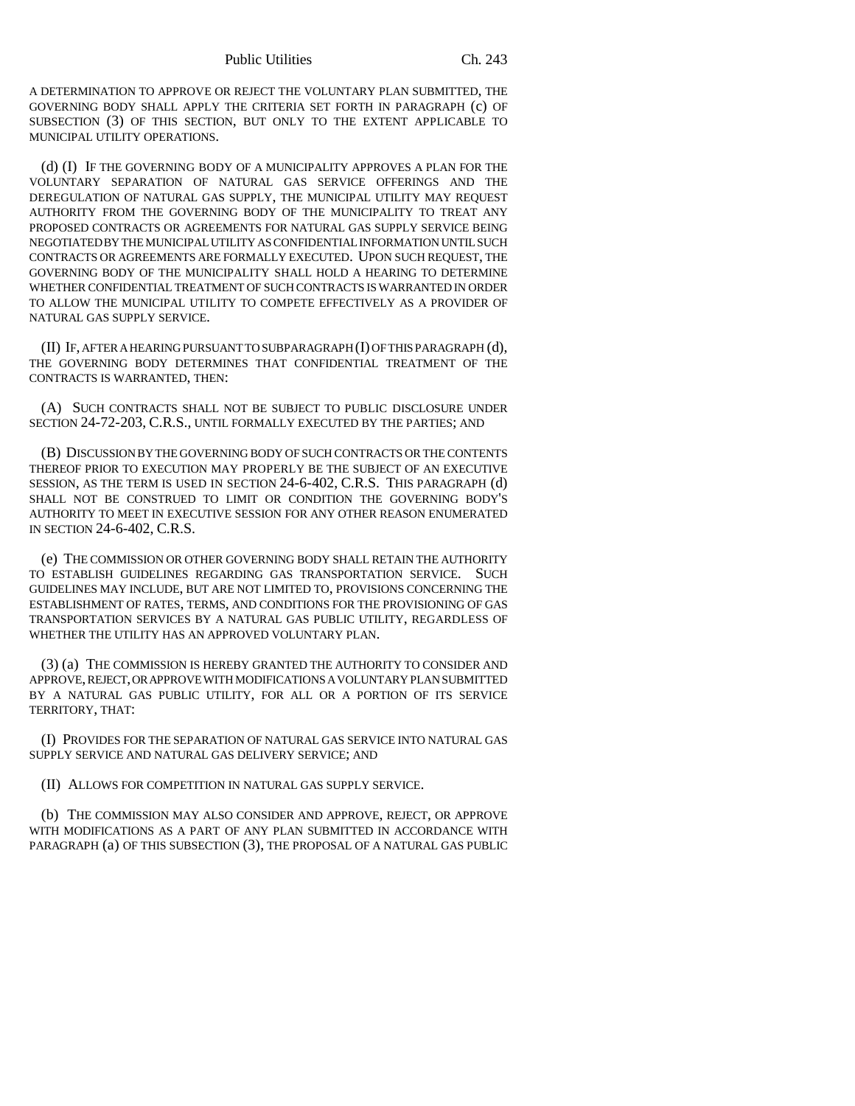A DETERMINATION TO APPROVE OR REJECT THE VOLUNTARY PLAN SUBMITTED, THE GOVERNING BODY SHALL APPLY THE CRITERIA SET FORTH IN PARAGRAPH (c) OF SUBSECTION (3) OF THIS SECTION, BUT ONLY TO THE EXTENT APPLICABLE TO MUNICIPAL UTILITY OPERATIONS.

(d) (I) IF THE GOVERNING BODY OF A MUNICIPALITY APPROVES A PLAN FOR THE VOLUNTARY SEPARATION OF NATURAL GAS SERVICE OFFERINGS AND THE DEREGULATION OF NATURAL GAS SUPPLY, THE MUNICIPAL UTILITY MAY REQUEST AUTHORITY FROM THE GOVERNING BODY OF THE MUNICIPALITY TO TREAT ANY PROPOSED CONTRACTS OR AGREEMENTS FOR NATURAL GAS SUPPLY SERVICE BEING NEGOTIATED BY THE MUNICIPAL UTILITY AS CONFIDENTIAL INFORMATION UNTIL SUCH CONTRACTS OR AGREEMENTS ARE FORMALLY EXECUTED. UPON SUCH REQUEST, THE GOVERNING BODY OF THE MUNICIPALITY SHALL HOLD A HEARING TO DETERMINE WHETHER CONFIDENTIAL TREATMENT OF SUCH CONTRACTS IS WARRANTED IN ORDER TO ALLOW THE MUNICIPAL UTILITY TO COMPETE EFFECTIVELY AS A PROVIDER OF NATURAL GAS SUPPLY SERVICE.

(II) IF, AFTER A HEARING PURSUANT TO SUBPARAGRAPH (I) OF THIS PARAGRAPH (d), THE GOVERNING BODY DETERMINES THAT CONFIDENTIAL TREATMENT OF THE CONTRACTS IS WARRANTED, THEN:

(A) SUCH CONTRACTS SHALL NOT BE SUBJECT TO PUBLIC DISCLOSURE UNDER SECTION 24-72-203, C.R.S., UNTIL FORMALLY EXECUTED BY THE PARTIES; AND

(B) DISCUSSION BY THE GOVERNING BODY OF SUCH CONTRACTS OR THE CONTENTS THEREOF PRIOR TO EXECUTION MAY PROPERLY BE THE SUBJECT OF AN EXECUTIVE SESSION, AS THE TERM IS USED IN SECTION 24-6-402, C.R.S. THIS PARAGRAPH (d) SHALL NOT BE CONSTRUED TO LIMIT OR CONDITION THE GOVERNING BODY'S AUTHORITY TO MEET IN EXECUTIVE SESSION FOR ANY OTHER REASON ENUMERATED IN SECTION 24-6-402, C.R.S.

(e) THE COMMISSION OR OTHER GOVERNING BODY SHALL RETAIN THE AUTHORITY TO ESTABLISH GUIDELINES REGARDING GAS TRANSPORTATION SERVICE. SUCH GUIDELINES MAY INCLUDE, BUT ARE NOT LIMITED TO, PROVISIONS CONCERNING THE ESTABLISHMENT OF RATES, TERMS, AND CONDITIONS FOR THE PROVISIONING OF GAS TRANSPORTATION SERVICES BY A NATURAL GAS PUBLIC UTILITY, REGARDLESS OF WHETHER THE UTILITY HAS AN APPROVED VOLUNTARY PLAN.

(3) (a) THE COMMISSION IS HEREBY GRANTED THE AUTHORITY TO CONSIDER AND APPROVE, REJECT, OR APPROVE WITH MODIFICATIONS A VOLUNTARY PLAN SUBMITTED BY A NATURAL GAS PUBLIC UTILITY, FOR ALL OR A PORTION OF ITS SERVICE TERRITORY, THAT:

(I) PROVIDES FOR THE SEPARATION OF NATURAL GAS SERVICE INTO NATURAL GAS SUPPLY SERVICE AND NATURAL GAS DELIVERY SERVICE; AND

(II) ALLOWS FOR COMPETITION IN NATURAL GAS SUPPLY SERVICE.

(b) THE COMMISSION MAY ALSO CONSIDER AND APPROVE, REJECT, OR APPROVE WITH MODIFICATIONS AS A PART OF ANY PLAN SUBMITTED IN ACCORDANCE WITH PARAGRAPH (a) OF THIS SUBSECTION (3), THE PROPOSAL OF A NATURAL GAS PUBLIC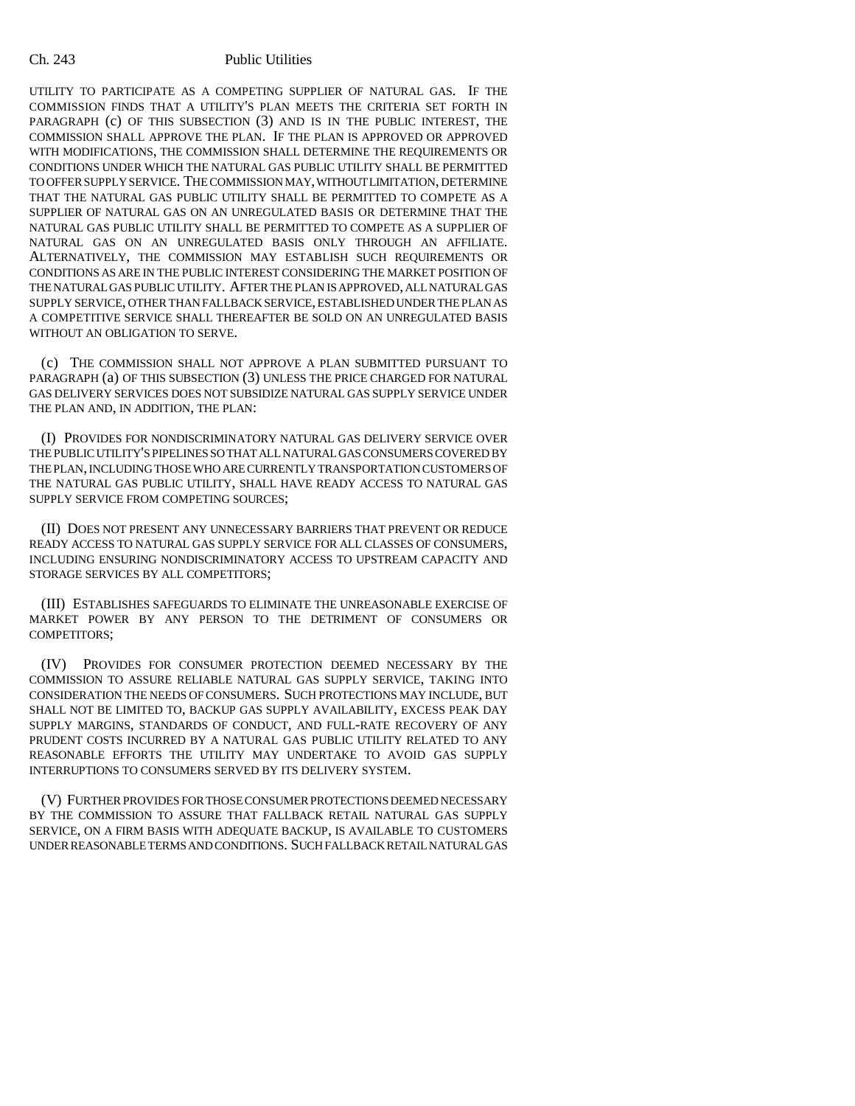UTILITY TO PARTICIPATE AS A COMPETING SUPPLIER OF NATURAL GAS. IF THE COMMISSION FINDS THAT A UTILITY'S PLAN MEETS THE CRITERIA SET FORTH IN PARAGRAPH (c) OF THIS SUBSECTION (3) AND IS IN THE PUBLIC INTEREST, THE COMMISSION SHALL APPROVE THE PLAN. IF THE PLAN IS APPROVED OR APPROVED WITH MODIFICATIONS, THE COMMISSION SHALL DETERMINE THE REQUIREMENTS OR CONDITIONS UNDER WHICH THE NATURAL GAS PUBLIC UTILITY SHALL BE PERMITTED TO OFFER SUPPLY SERVICE. THE COMMISSION MAY, WITHOUT LIMITATION, DETERMINE THAT THE NATURAL GAS PUBLIC UTILITY SHALL BE PERMITTED TO COMPETE AS A SUPPLIER OF NATURAL GAS ON AN UNREGULATED BASIS OR DETERMINE THAT THE NATURAL GAS PUBLIC UTILITY SHALL BE PERMITTED TO COMPETE AS A SUPPLIER OF NATURAL GAS ON AN UNREGULATED BASIS ONLY THROUGH AN AFFILIATE. ALTERNATIVELY, THE COMMISSION MAY ESTABLISH SUCH REQUIREMENTS OR CONDITIONS AS ARE IN THE PUBLIC INTEREST CONSIDERING THE MARKET POSITION OF THE NATURAL GAS PUBLIC UTILITY. AFTER THE PLAN IS APPROVED, ALL NATURAL GAS SUPPLY SERVICE, OTHER THAN FALLBACK SERVICE, ESTABLISHED UNDER THE PLAN AS A COMPETITIVE SERVICE SHALL THEREAFTER BE SOLD ON AN UNREGULATED BASIS WITHOUT AN OBLIGATION TO SERVE.

(c) THE COMMISSION SHALL NOT APPROVE A PLAN SUBMITTED PURSUANT TO PARAGRAPH (a) OF THIS SUBSECTION (3) UNLESS THE PRICE CHARGED FOR NATURAL GAS DELIVERY SERVICES DOES NOT SUBSIDIZE NATURAL GAS SUPPLY SERVICE UNDER THE PLAN AND, IN ADDITION, THE PLAN:

(I) PROVIDES FOR NONDISCRIMINATORY NATURAL GAS DELIVERY SERVICE OVER THE PUBLIC UTILITY'S PIPELINES SO THAT ALL NATURAL GAS CONSUMERS COVERED BY THE PLAN, INCLUDING THOSE WHO ARE CURRENTLY TRANSPORTATION CUSTOMERS OF THE NATURAL GAS PUBLIC UTILITY, SHALL HAVE READY ACCESS TO NATURAL GAS SUPPLY SERVICE FROM COMPETING SOURCES;

(II) DOES NOT PRESENT ANY UNNECESSARY BARRIERS THAT PREVENT OR REDUCE READY ACCESS TO NATURAL GAS SUPPLY SERVICE FOR ALL CLASSES OF CONSUMERS, INCLUDING ENSURING NONDISCRIMINATORY ACCESS TO UPSTREAM CAPACITY AND STORAGE SERVICES BY ALL COMPETITORS;

(III) ESTABLISHES SAFEGUARDS TO ELIMINATE THE UNREASONABLE EXERCISE OF MARKET POWER BY ANY PERSON TO THE DETRIMENT OF CONSUMERS OR COMPETITORS;

(IV) PROVIDES FOR CONSUMER PROTECTION DEEMED NECESSARY BY THE COMMISSION TO ASSURE RELIABLE NATURAL GAS SUPPLY SERVICE, TAKING INTO CONSIDERATION THE NEEDS OF CONSUMERS. SUCH PROTECTIONS MAY INCLUDE, BUT SHALL NOT BE LIMITED TO, BACKUP GAS SUPPLY AVAILABILITY, EXCESS PEAK DAY SUPPLY MARGINS, STANDARDS OF CONDUCT, AND FULL-RATE RECOVERY OF ANY PRUDENT COSTS INCURRED BY A NATURAL GAS PUBLIC UTILITY RELATED TO ANY REASONABLE EFFORTS THE UTILITY MAY UNDERTAKE TO AVOID GAS SUPPLY INTERRUPTIONS TO CONSUMERS SERVED BY ITS DELIVERY SYSTEM.

(V) FURTHER PROVIDES FOR THOSE CONSUMER PROTECTIONS DEEMED NECESSARY BY THE COMMISSION TO ASSURE THAT FALLBACK RETAIL NATURAL GAS SUPPLY SERVICE, ON A FIRM BASIS WITH ADEQUATE BACKUP, IS AVAILABLE TO CUSTOMERS UNDER REASONABLE TERMS AND CONDITIONS. SUCH FALLBACK RETAIL NATURAL GAS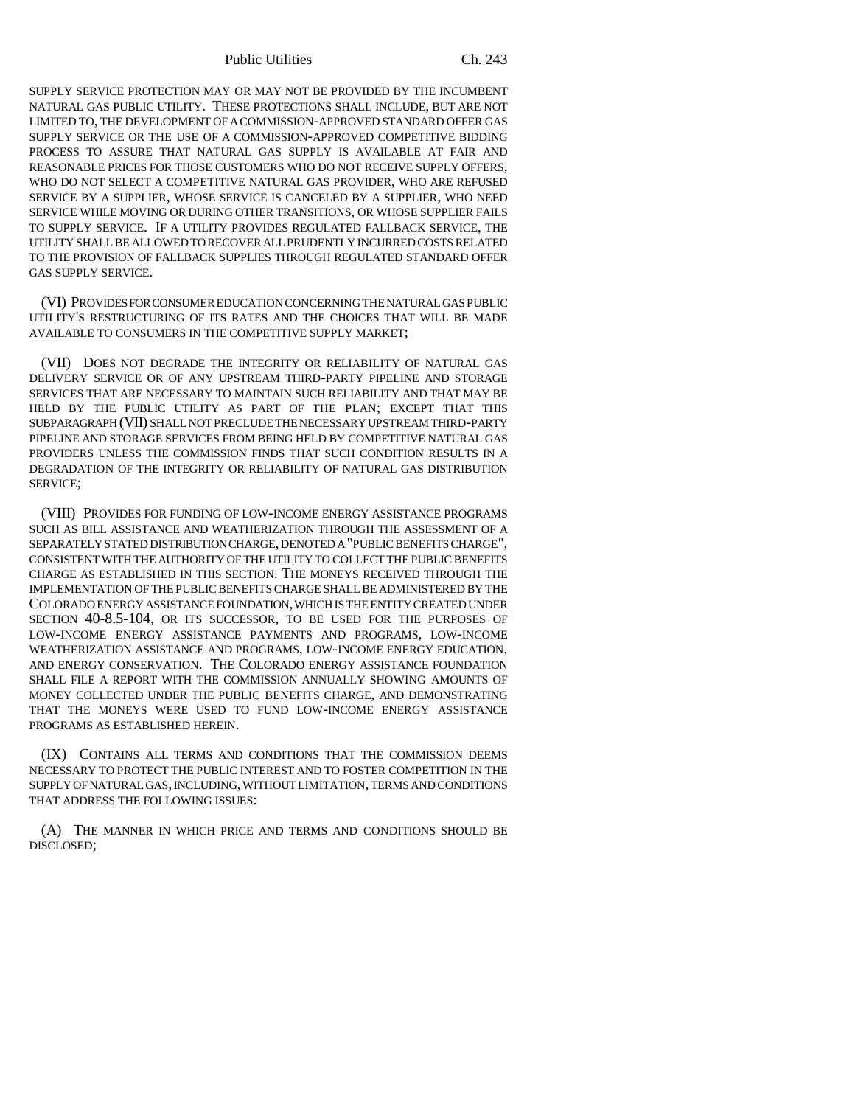Public Utilities Ch. 243

SUPPLY SERVICE PROTECTION MAY OR MAY NOT BE PROVIDED BY THE INCUMBENT NATURAL GAS PUBLIC UTILITY. THESE PROTECTIONS SHALL INCLUDE, BUT ARE NOT LIMITED TO, THE DEVELOPMENT OF A COMMISSION-APPROVED STANDARD OFFER GAS SUPPLY SERVICE OR THE USE OF A COMMISSION-APPROVED COMPETITIVE BIDDING PROCESS TO ASSURE THAT NATURAL GAS SUPPLY IS AVAILABLE AT FAIR AND REASONABLE PRICES FOR THOSE CUSTOMERS WHO DO NOT RECEIVE SUPPLY OFFERS, WHO DO NOT SELECT A COMPETITIVE NATURAL GAS PROVIDER, WHO ARE REFUSED SERVICE BY A SUPPLIER, WHOSE SERVICE IS CANCELED BY A SUPPLIER, WHO NEED SERVICE WHILE MOVING OR DURING OTHER TRANSITIONS, OR WHOSE SUPPLIER FAILS TO SUPPLY SERVICE. IF A UTILITY PROVIDES REGULATED FALLBACK SERVICE, THE UTILITY SHALL BE ALLOWED TO RECOVER ALL PRUDENTLY INCURRED COSTS RELATED TO THE PROVISION OF FALLBACK SUPPLIES THROUGH REGULATED STANDARD OFFER GAS SUPPLY SERVICE.

(VI) PROVIDES FOR CONSUMER EDUCATION CONCERNING THE NATURAL GAS PUBLIC UTILITY'S RESTRUCTURING OF ITS RATES AND THE CHOICES THAT WILL BE MADE AVAILABLE TO CONSUMERS IN THE COMPETITIVE SUPPLY MARKET;

(VII) DOES NOT DEGRADE THE INTEGRITY OR RELIABILITY OF NATURAL GAS DELIVERY SERVICE OR OF ANY UPSTREAM THIRD-PARTY PIPELINE AND STORAGE SERVICES THAT ARE NECESSARY TO MAINTAIN SUCH RELIABILITY AND THAT MAY BE HELD BY THE PUBLIC UTILITY AS PART OF THE PLAN; EXCEPT THAT THIS SUBPARAGRAPH (VII) SHALL NOT PRECLUDE THE NECESSARY UPSTREAM THIRD-PARTY PIPELINE AND STORAGE SERVICES FROM BEING HELD BY COMPETITIVE NATURAL GAS PROVIDERS UNLESS THE COMMISSION FINDS THAT SUCH CONDITION RESULTS IN A DEGRADATION OF THE INTEGRITY OR RELIABILITY OF NATURAL GAS DISTRIBUTION SERVICE;

(VIII) PROVIDES FOR FUNDING OF LOW-INCOME ENERGY ASSISTANCE PROGRAMS SUCH AS BILL ASSISTANCE AND WEATHERIZATION THROUGH THE ASSESSMENT OF A SEPARATELY STATED DISTRIBUTION CHARGE, DENOTED A "PUBLIC BENEFITS CHARGE", CONSISTENT WITH THE AUTHORITY OF THE UTILITY TO COLLECT THE PUBLIC BENEFITS CHARGE AS ESTABLISHED IN THIS SECTION. THE MONEYS RECEIVED THROUGH THE IMPLEMENTATION OF THE PUBLIC BENEFITS CHARGE SHALL BE ADMINISTERED BY THE COLORADO ENERGY ASSISTANCE FOUNDATION, WHICH IS THE ENTITY CREATED UNDER SECTION 40-8.5-104, OR ITS SUCCESSOR, TO BE USED FOR THE PURPOSES OF LOW-INCOME ENERGY ASSISTANCE PAYMENTS AND PROGRAMS, LOW-INCOME WEATHERIZATION ASSISTANCE AND PROGRAMS, LOW-INCOME ENERGY EDUCATION, AND ENERGY CONSERVATION. THE COLORADO ENERGY ASSISTANCE FOUNDATION SHALL FILE A REPORT WITH THE COMMISSION ANNUALLY SHOWING AMOUNTS OF MONEY COLLECTED UNDER THE PUBLIC BENEFITS CHARGE, AND DEMONSTRATING THAT THE MONEYS WERE USED TO FUND LOW-INCOME ENERGY ASSISTANCE PROGRAMS AS ESTABLISHED HEREIN.

(IX) CONTAINS ALL TERMS AND CONDITIONS THAT THE COMMISSION DEEMS NECESSARY TO PROTECT THE PUBLIC INTEREST AND TO FOSTER COMPETITION IN THE SUPPLY OF NATURAL GAS, INCLUDING, WITHOUT LIMITATION, TERMS AND CONDITIONS THAT ADDRESS THE FOLLOWING ISSUES:

(A) THE MANNER IN WHICH PRICE AND TERMS AND CONDITIONS SHOULD BE DISCLOSED;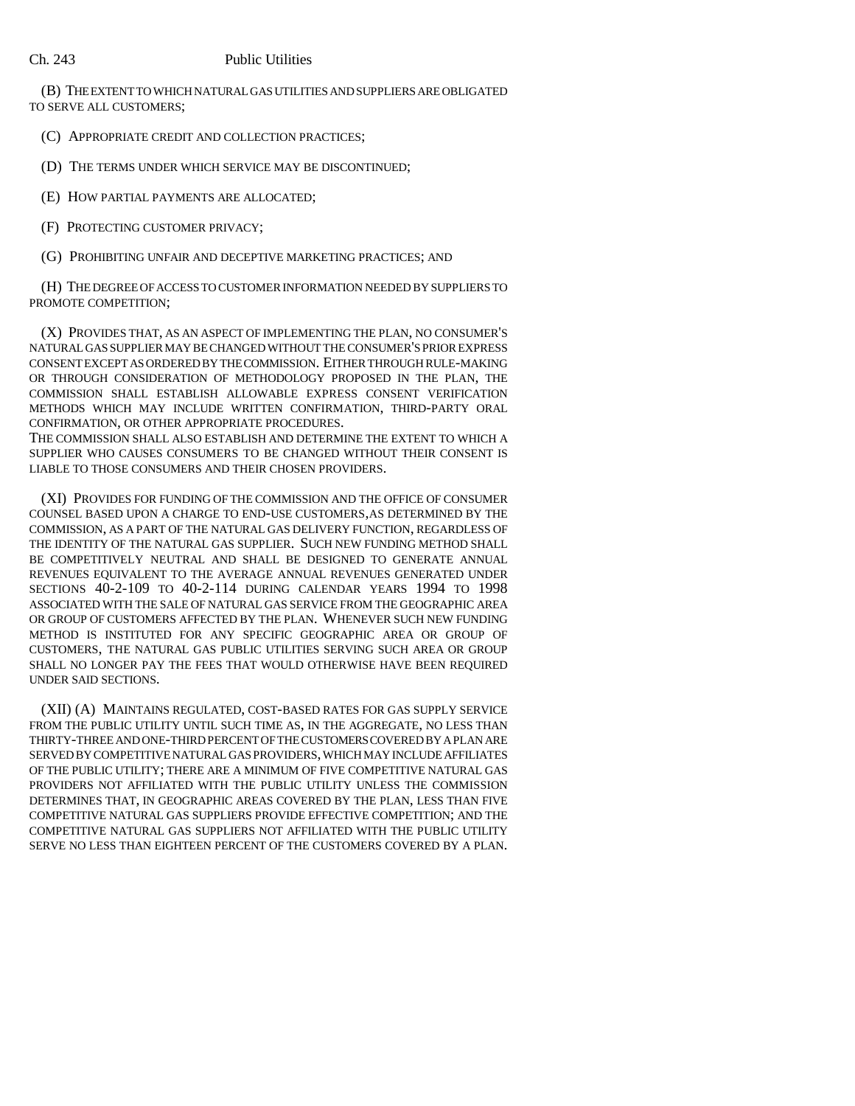(B) THE EXTENT TO WHICH NATURAL GAS UTILITIES AND SUPPLIERS ARE OBLIGATED TO SERVE ALL CUSTOMERS;

(C) APPROPRIATE CREDIT AND COLLECTION PRACTICES;

(D) THE TERMS UNDER WHICH SERVICE MAY BE DISCONTINUED;

(E) HOW PARTIAL PAYMENTS ARE ALLOCATED;

(F) PROTECTING CUSTOMER PRIVACY;

(G) PROHIBITING UNFAIR AND DECEPTIVE MARKETING PRACTICES; AND

(H) THE DEGREE OF ACCESS TO CUSTOMER INFORMATION NEEDED BY SUPPLIERS TO PROMOTE COMPETITION;

(X) PROVIDES THAT, AS AN ASPECT OF IMPLEMENTING THE PLAN, NO CONSUMER'S NATURAL GAS SUPPLIER MAY BE CHANGED WITHOUT THE CONSUMER'S PRIOR EXPRESS CONSENT EXCEPT AS ORDERED BY THE COMMISSION. EITHER THROUGH RULE-MAKING OR THROUGH CONSIDERATION OF METHODOLOGY PROPOSED IN THE PLAN, THE COMMISSION SHALL ESTABLISH ALLOWABLE EXPRESS CONSENT VERIFICATION METHODS WHICH MAY INCLUDE WRITTEN CONFIRMATION, THIRD-PARTY ORAL CONFIRMATION, OR OTHER APPROPRIATE PROCEDURES.

THE COMMISSION SHALL ALSO ESTABLISH AND DETERMINE THE EXTENT TO WHICH A SUPPLIER WHO CAUSES CONSUMERS TO BE CHANGED WITHOUT THEIR CONSENT IS LIABLE TO THOSE CONSUMERS AND THEIR CHOSEN PROVIDERS.

(XI) PROVIDES FOR FUNDING OF THE COMMISSION AND THE OFFICE OF CONSUMER COUNSEL BASED UPON A CHARGE TO END-USE CUSTOMERS,AS DETERMINED BY THE COMMISSION, AS A PART OF THE NATURAL GAS DELIVERY FUNCTION, REGARDLESS OF THE IDENTITY OF THE NATURAL GAS SUPPLIER. SUCH NEW FUNDING METHOD SHALL BE COMPETITIVELY NEUTRAL AND SHALL BE DESIGNED TO GENERATE ANNUAL REVENUES EQUIVALENT TO THE AVERAGE ANNUAL REVENUES GENERATED UNDER SECTIONS 40-2-109 TO 40-2-114 DURING CALENDAR YEARS 1994 TO 1998 ASSOCIATED WITH THE SALE OF NATURAL GAS SERVICE FROM THE GEOGRAPHIC AREA OR GROUP OF CUSTOMERS AFFECTED BY THE PLAN. WHENEVER SUCH NEW FUNDING METHOD IS INSTITUTED FOR ANY SPECIFIC GEOGRAPHIC AREA OR GROUP OF CUSTOMERS, THE NATURAL GAS PUBLIC UTILITIES SERVING SUCH AREA OR GROUP SHALL NO LONGER PAY THE FEES THAT WOULD OTHERWISE HAVE BEEN REQUIRED UNDER SAID SECTIONS.

(XII) (A) MAINTAINS REGULATED, COST-BASED RATES FOR GAS SUPPLY SERVICE FROM THE PUBLIC UTILITY UNTIL SUCH TIME AS, IN THE AGGREGATE, NO LESS THAN THIRTY-THREE AND ONE-THIRD PERCENT OF THE CUSTOMERS COVERED BY A PLAN ARE SERVED BY COMPETITIVE NATURAL GAS PROVIDERS, WHICH MAY INCLUDE AFFILIATES OF THE PUBLIC UTILITY; THERE ARE A MINIMUM OF FIVE COMPETITIVE NATURAL GAS PROVIDERS NOT AFFILIATED WITH THE PUBLIC UTILITY UNLESS THE COMMISSION DETERMINES THAT, IN GEOGRAPHIC AREAS COVERED BY THE PLAN, LESS THAN FIVE COMPETITIVE NATURAL GAS SUPPLIERS PROVIDE EFFECTIVE COMPETITION; AND THE COMPETITIVE NATURAL GAS SUPPLIERS NOT AFFILIATED WITH THE PUBLIC UTILITY SERVE NO LESS THAN EIGHTEEN PERCENT OF THE CUSTOMERS COVERED BY A PLAN.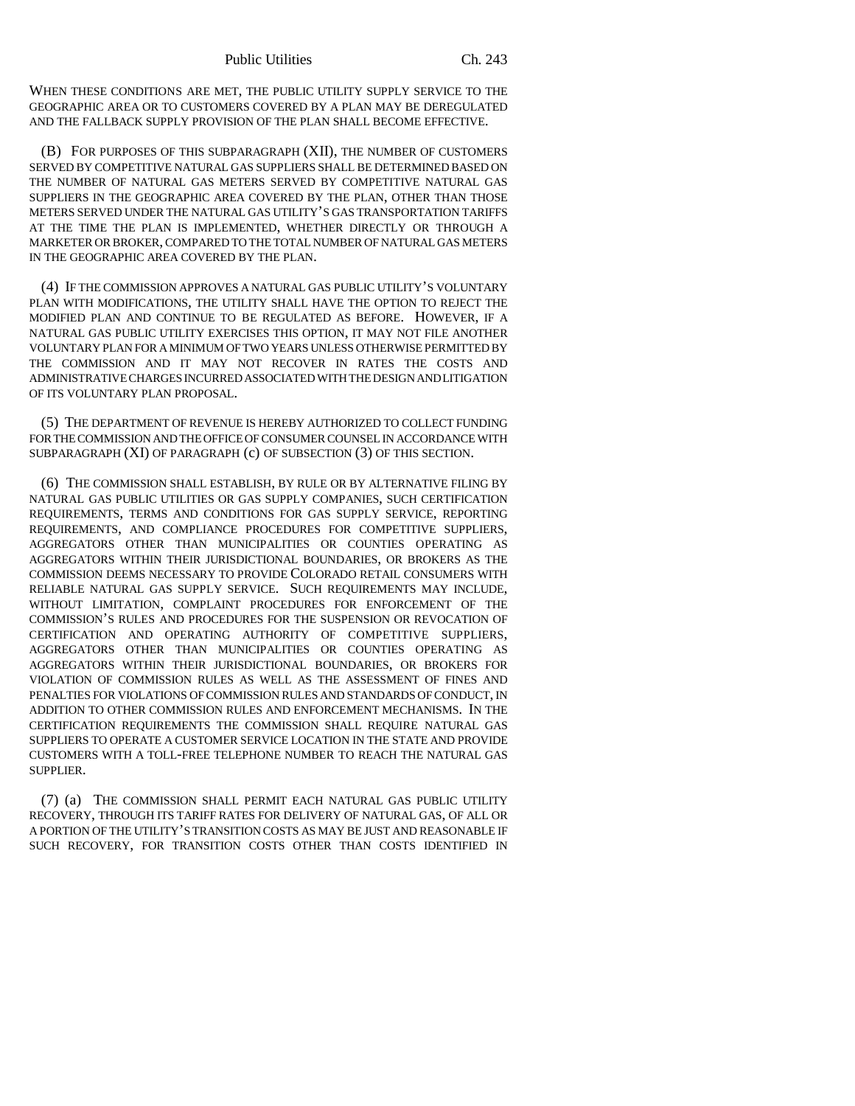WHEN THESE CONDITIONS ARE MET, THE PUBLIC UTILITY SUPPLY SERVICE TO THE GEOGRAPHIC AREA OR TO CUSTOMERS COVERED BY A PLAN MAY BE DEREGULATED AND THE FALLBACK SUPPLY PROVISION OF THE PLAN SHALL BECOME EFFECTIVE.

(B) FOR PURPOSES OF THIS SUBPARAGRAPH (XII), THE NUMBER OF CUSTOMERS SERVED BY COMPETITIVE NATURAL GAS SUPPLIERS SHALL BE DETERMINED BASED ON THE NUMBER OF NATURAL GAS METERS SERVED BY COMPETITIVE NATURAL GAS SUPPLIERS IN THE GEOGRAPHIC AREA COVERED BY THE PLAN, OTHER THAN THOSE METERS SERVED UNDER THE NATURAL GAS UTILITY'S GAS TRANSPORTATION TARIFFS AT THE TIME THE PLAN IS IMPLEMENTED, WHETHER DIRECTLY OR THROUGH A MARKETER OR BROKER, COMPARED TO THE TOTAL NUMBER OF NATURAL GAS METERS IN THE GEOGRAPHIC AREA COVERED BY THE PLAN.

(4) IF THE COMMISSION APPROVES A NATURAL GAS PUBLIC UTILITY'S VOLUNTARY PLAN WITH MODIFICATIONS, THE UTILITY SHALL HAVE THE OPTION TO REJECT THE MODIFIED PLAN AND CONTINUE TO BE REGULATED AS BEFORE. HOWEVER, IF A NATURAL GAS PUBLIC UTILITY EXERCISES THIS OPTION, IT MAY NOT FILE ANOTHER VOLUNTARY PLAN FOR A MINIMUM OF TWO YEARS UNLESS OTHERWISE PERMITTED BY THE COMMISSION AND IT MAY NOT RECOVER IN RATES THE COSTS AND ADMINISTRATIVE CHARGES INCURRED ASSOCIATED WITH THE DESIGN AND LITIGATION OF ITS VOLUNTARY PLAN PROPOSAL.

(5) THE DEPARTMENT OF REVENUE IS HEREBY AUTHORIZED TO COLLECT FUNDING FOR THE COMMISSION AND THE OFFICE OF CONSUMER COUNSEL IN ACCORDANCE WITH SUBPARAGRAPH (XI) OF PARAGRAPH (c) OF SUBSECTION (3) OF THIS SECTION.

(6) THE COMMISSION SHALL ESTABLISH, BY RULE OR BY ALTERNATIVE FILING BY NATURAL GAS PUBLIC UTILITIES OR GAS SUPPLY COMPANIES, SUCH CERTIFICATION REQUIREMENTS, TERMS AND CONDITIONS FOR GAS SUPPLY SERVICE, REPORTING REQUIREMENTS, AND COMPLIANCE PROCEDURES FOR COMPETITIVE SUPPLIERS, AGGREGATORS OTHER THAN MUNICIPALITIES OR COUNTIES OPERATING AS AGGREGATORS WITHIN THEIR JURISDICTIONAL BOUNDARIES, OR BROKERS AS THE COMMISSION DEEMS NECESSARY TO PROVIDE COLORADO RETAIL CONSUMERS WITH RELIABLE NATURAL GAS SUPPLY SERVICE. SUCH REQUIREMENTS MAY INCLUDE, WITHOUT LIMITATION, COMPLAINT PROCEDURES FOR ENFORCEMENT OF THE COMMISSION'S RULES AND PROCEDURES FOR THE SUSPENSION OR REVOCATION OF CERTIFICATION AND OPERATING AUTHORITY OF COMPETITIVE SUPPLIERS, AGGREGATORS OTHER THAN MUNICIPALITIES OR COUNTIES OPERATING AS AGGREGATORS WITHIN THEIR JURISDICTIONAL BOUNDARIES, OR BROKERS FOR VIOLATION OF COMMISSION RULES AS WELL AS THE ASSESSMENT OF FINES AND PENALTIES FOR VIOLATIONS OF COMMISSION RULES AND STANDARDS OF CONDUCT, IN ADDITION TO OTHER COMMISSION RULES AND ENFORCEMENT MECHANISMS. IN THE CERTIFICATION REQUIREMENTS THE COMMISSION SHALL REQUIRE NATURAL GAS SUPPLIERS TO OPERATE A CUSTOMER SERVICE LOCATION IN THE STATE AND PROVIDE CUSTOMERS WITH A TOLL-FREE TELEPHONE NUMBER TO REACH THE NATURAL GAS SUPPLIER.

(7) (a) THE COMMISSION SHALL PERMIT EACH NATURAL GAS PUBLIC UTILITY RECOVERY, THROUGH ITS TARIFF RATES FOR DELIVERY OF NATURAL GAS, OF ALL OR A PORTION OF THE UTILITY'S TRANSITION COSTS AS MAY BE JUST AND REASONABLE IF SUCH RECOVERY, FOR TRANSITION COSTS OTHER THAN COSTS IDENTIFIED IN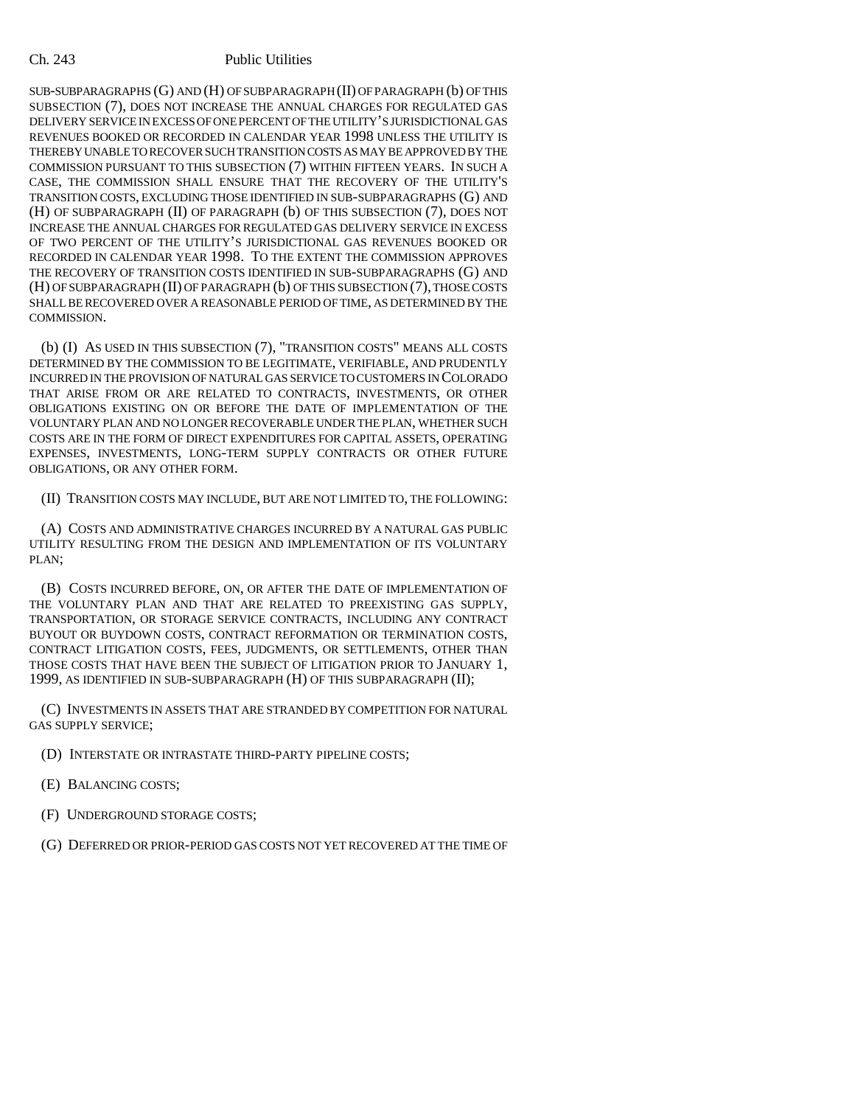SUB-SUBPARAGRAPHS (G) AND (H) OF SUBPARAGRAPH (II) OF PARAGRAPH (b) OF THIS SUBSECTION (7), DOES NOT INCREASE THE ANNUAL CHARGES FOR REGULATED GAS DELIVERY SERVICE IN EXCESS OF ONE PERCENT OF THE UTILITY'S JURISDICTIONAL GAS REVENUES BOOKED OR RECORDED IN CALENDAR YEAR 1998 UNLESS THE UTILITY IS THEREBY UNABLE TO RECOVER SUCH TRANSITION COSTS AS MAY BE APPROVED BY THE COMMISSION PURSUANT TO THIS SUBSECTION (7) WITHIN FIFTEEN YEARS. IN SUCH A CASE, THE COMMISSION SHALL ENSURE THAT THE RECOVERY OF THE UTILITY'S TRANSITION COSTS, EXCLUDING THOSE IDENTIFIED IN SUB-SUBPARAGRAPHS (G) AND (H) OF SUBPARAGRAPH (II) OF PARAGRAPH (b) OF THIS SUBSECTION (7), DOES NOT INCREASE THE ANNUAL CHARGES FOR REGULATED GAS DELIVERY SERVICE IN EXCESS OF TWO PERCENT OF THE UTILITY'S JURISDICTIONAL GAS REVENUES BOOKED OR RECORDED IN CALENDAR YEAR 1998. TO THE EXTENT THE COMMISSION APPROVES THE RECOVERY OF TRANSITION COSTS IDENTIFIED IN SUB-SUBPARAGRAPHS (G) AND (H) OF SUBPARAGRAPH (II) OF PARAGRAPH (b) OF THIS SUBSECTION (7), THOSE COSTS SHALL BE RECOVERED OVER A REASONABLE PERIOD OF TIME, AS DETERMINED BY THE COMMISSION.

(b) (I) AS USED IN THIS SUBSECTION (7), "TRANSITION COSTS" MEANS ALL COSTS DETERMINED BY THE COMMISSION TO BE LEGITIMATE, VERIFIABLE, AND PRUDENTLY INCURRED IN THE PROVISION OF NATURAL GAS SERVICE TO CUSTOMERS IN COLORADO THAT ARISE FROM OR ARE RELATED TO CONTRACTS, INVESTMENTS, OR OTHER OBLIGATIONS EXISTING ON OR BEFORE THE DATE OF IMPLEMENTATION OF THE VOLUNTARY PLAN AND NO LONGER RECOVERABLE UNDER THE PLAN, WHETHER SUCH COSTS ARE IN THE FORM OF DIRECT EXPENDITURES FOR CAPITAL ASSETS, OPERATING EXPENSES, INVESTMENTS, LONG-TERM SUPPLY CONTRACTS OR OTHER FUTURE OBLIGATIONS, OR ANY OTHER FORM.

(II) TRANSITION COSTS MAY INCLUDE, BUT ARE NOT LIMITED TO, THE FOLLOWING:

(A) COSTS AND ADMINISTRATIVE CHARGES INCURRED BY A NATURAL GAS PUBLIC UTILITY RESULTING FROM THE DESIGN AND IMPLEMENTATION OF ITS VOLUNTARY PLAN;

(B) COSTS INCURRED BEFORE, ON, OR AFTER THE DATE OF IMPLEMENTATION OF THE VOLUNTARY PLAN AND THAT ARE RELATED TO PREEXISTING GAS SUPPLY, TRANSPORTATION, OR STORAGE SERVICE CONTRACTS, INCLUDING ANY CONTRACT BUYOUT OR BUYDOWN COSTS, CONTRACT REFORMATION OR TERMINATION COSTS, CONTRACT LITIGATION COSTS, FEES, JUDGMENTS, OR SETTLEMENTS, OTHER THAN THOSE COSTS THAT HAVE BEEN THE SUBJECT OF LITIGATION PRIOR TO JANUARY 1, 1999, AS IDENTIFIED IN SUB-SUBPARAGRAPH (H) OF THIS SUBPARAGRAPH (II);

(C) INVESTMENTS IN ASSETS THAT ARE STRANDED BY COMPETITION FOR NATURAL GAS SUPPLY SERVICE;

- (D) INTERSTATE OR INTRASTATE THIRD-PARTY PIPELINE COSTS;
- (E) BALANCING COSTS;
- (F) UNDERGROUND STORAGE COSTS;
- (G) DEFERRED OR PRIOR-PERIOD GAS COSTS NOT YET RECOVERED AT THE TIME OF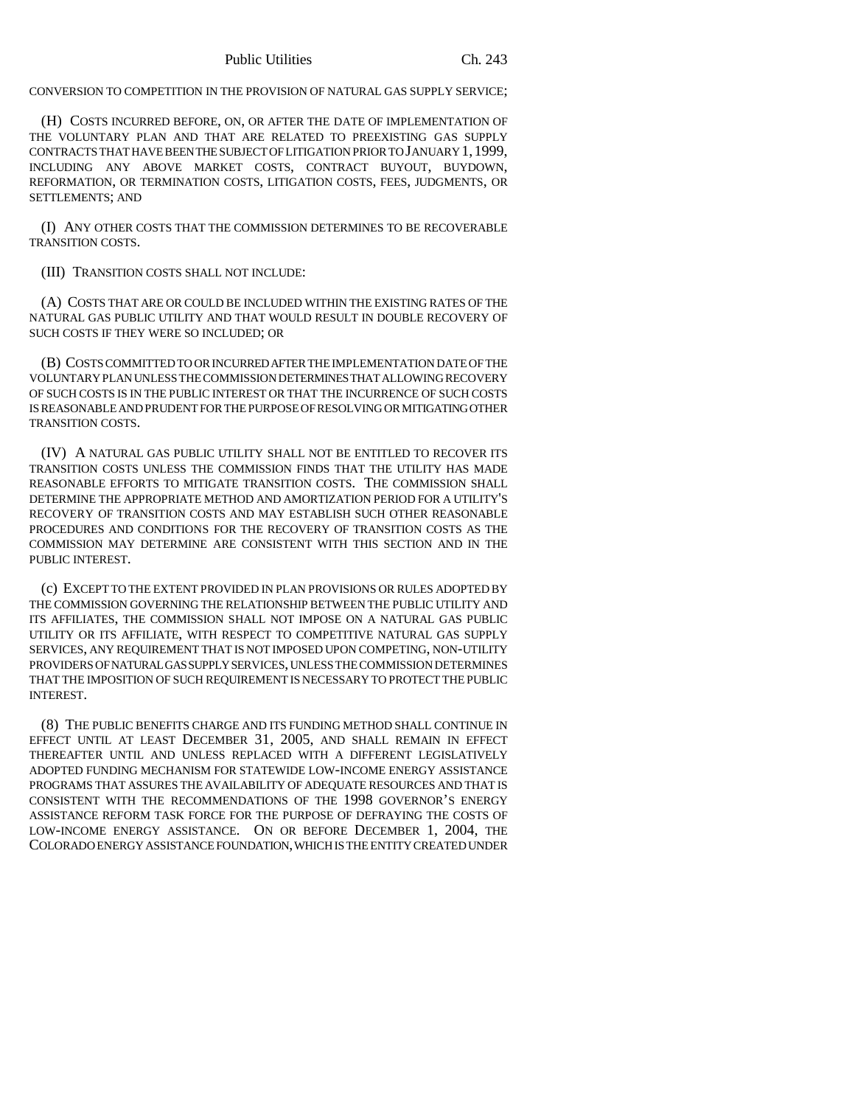CONVERSION TO COMPETITION IN THE PROVISION OF NATURAL GAS SUPPLY SERVICE;

(H) COSTS INCURRED BEFORE, ON, OR AFTER THE DATE OF IMPLEMENTATION OF THE VOLUNTARY PLAN AND THAT ARE RELATED TO PREEXISTING GAS SUPPLY CONTRACTS THAT HAVE BEEN THE SUBJECT OF LITIGATION PRIOR TO JANUARY 1,1999, INCLUDING ANY ABOVE MARKET COSTS, CONTRACT BUYOUT, BUYDOWN, REFORMATION, OR TERMINATION COSTS, LITIGATION COSTS, FEES, JUDGMENTS, OR SETTLEMENTS; AND

(I) ANY OTHER COSTS THAT THE COMMISSION DETERMINES TO BE RECOVERABLE TRANSITION COSTS.

(III) TRANSITION COSTS SHALL NOT INCLUDE:

(A) COSTS THAT ARE OR COULD BE INCLUDED WITHIN THE EXISTING RATES OF THE NATURAL GAS PUBLIC UTILITY AND THAT WOULD RESULT IN DOUBLE RECOVERY OF SUCH COSTS IF THEY WERE SO INCLUDED; OR

(B) COSTS COMMITTED TO OR INCURRED AFTER THE IMPLEMENTATION DATE OF THE VOLUNTARY PLAN UNLESS THE COMMISSION DETERMINES THAT ALLOWING RECOVERY OF SUCH COSTS IS IN THE PUBLIC INTEREST OR THAT THE INCURRENCE OF SUCH COSTS IS REASONABLE AND PRUDENT FOR THE PURPOSE OF RESOLVING OR MITIGATING OTHER TRANSITION COSTS.

(IV) A NATURAL GAS PUBLIC UTILITY SHALL NOT BE ENTITLED TO RECOVER ITS TRANSITION COSTS UNLESS THE COMMISSION FINDS THAT THE UTILITY HAS MADE REASONABLE EFFORTS TO MITIGATE TRANSITION COSTS. THE COMMISSION SHALL DETERMINE THE APPROPRIATE METHOD AND AMORTIZATION PERIOD FOR A UTILITY'S RECOVERY OF TRANSITION COSTS AND MAY ESTABLISH SUCH OTHER REASONABLE PROCEDURES AND CONDITIONS FOR THE RECOVERY OF TRANSITION COSTS AS THE COMMISSION MAY DETERMINE ARE CONSISTENT WITH THIS SECTION AND IN THE PUBLIC INTEREST.

(c) EXCEPT TO THE EXTENT PROVIDED IN PLAN PROVISIONS OR RULES ADOPTED BY THE COMMISSION GOVERNING THE RELATIONSHIP BETWEEN THE PUBLIC UTILITY AND ITS AFFILIATES, THE COMMISSION SHALL NOT IMPOSE ON A NATURAL GAS PUBLIC UTILITY OR ITS AFFILIATE, WITH RESPECT TO COMPETITIVE NATURAL GAS SUPPLY SERVICES, ANY REQUIREMENT THAT IS NOT IMPOSED UPON COMPETING, NON-UTILITY PROVIDERS OF NATURAL GAS SUPPLY SERVICES, UNLESS THE COMMISSION DETERMINES THAT THE IMPOSITION OF SUCH REQUIREMENT IS NECESSARY TO PROTECT THE PUBLIC INTEREST.

(8) THE PUBLIC BENEFITS CHARGE AND ITS FUNDING METHOD SHALL CONTINUE IN EFFECT UNTIL AT LEAST DECEMBER 31, 2005, AND SHALL REMAIN IN EFFECT THEREAFTER UNTIL AND UNLESS REPLACED WITH A DIFFERENT LEGISLATIVELY ADOPTED FUNDING MECHANISM FOR STATEWIDE LOW-INCOME ENERGY ASSISTANCE PROGRAMS THAT ASSURES THE AVAILABILITY OF ADEQUATE RESOURCES AND THAT IS CONSISTENT WITH THE RECOMMENDATIONS OF THE 1998 GOVERNOR'S ENERGY ASSISTANCE REFORM TASK FORCE FOR THE PURPOSE OF DEFRAYING THE COSTS OF LOW-INCOME ENERGY ASSISTANCE. ON OR BEFORE DECEMBER 1, 2004, THE COLORADO ENERGY ASSISTANCE FOUNDATION, WHICH IS THE ENTITY CREATED UNDER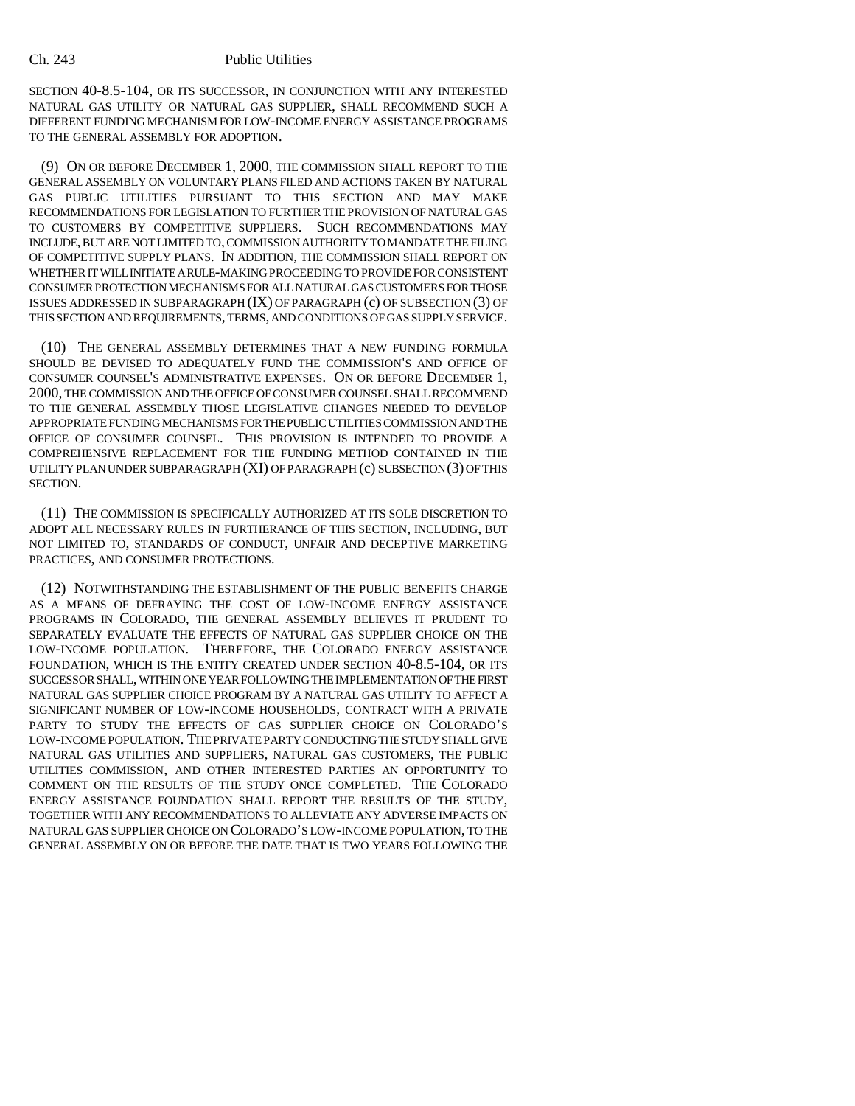SECTION 40-8.5-104, OR ITS SUCCESSOR, IN CONJUNCTION WITH ANY INTERESTED NATURAL GAS UTILITY OR NATURAL GAS SUPPLIER, SHALL RECOMMEND SUCH A DIFFERENT FUNDING MECHANISM FOR LOW-INCOME ENERGY ASSISTANCE PROGRAMS TO THE GENERAL ASSEMBLY FOR ADOPTION.

(9) ON OR BEFORE DECEMBER 1, 2000, THE COMMISSION SHALL REPORT TO THE GENERAL ASSEMBLY ON VOLUNTARY PLANS FILED AND ACTIONS TAKEN BY NATURAL GAS PUBLIC UTILITIES PURSUANT TO THIS SECTION AND MAY MAKE RECOMMENDATIONS FOR LEGISLATION TO FURTHER THE PROVISION OF NATURAL GAS TO CUSTOMERS BY COMPETITIVE SUPPLIERS. SUCH RECOMMENDATIONS MAY INCLUDE, BUT ARE NOT LIMITED TO, COMMISSION AUTHORITY TO MANDATE THE FILING OF COMPETITIVE SUPPLY PLANS. IN ADDITION, THE COMMISSION SHALL REPORT ON WHETHER IT WILL INITIATE A RULE-MAKING PROCEEDING TO PROVIDE FOR CONSISTENT CONSUMER PROTECTION MECHANISMS FOR ALL NATURAL GAS CUSTOMERS FOR THOSE ISSUES ADDRESSED IN SUBPARAGRAPH (IX) OF PARAGRAPH (c) OF SUBSECTION (3) OF THIS SECTION AND REQUIREMENTS, TERMS, AND CONDITIONS OF GAS SUPPLY SERVICE.

(10) THE GENERAL ASSEMBLY DETERMINES THAT A NEW FUNDING FORMULA SHOULD BE DEVISED TO ADEQUATELY FUND THE COMMISSION'S AND OFFICE OF CONSUMER COUNSEL'S ADMINISTRATIVE EXPENSES. ON OR BEFORE DECEMBER 1, 2000, THE COMMISSION AND THE OFFICE OF CONSUMER COUNSEL SHALL RECOMMEND TO THE GENERAL ASSEMBLY THOSE LEGISLATIVE CHANGES NEEDED TO DEVELOP APPROPRIATE FUNDING MECHANISMS FOR THE PUBLIC UTILITIES COMMISSION AND THE OFFICE OF CONSUMER COUNSEL. THIS PROVISION IS INTENDED TO PROVIDE A COMPREHENSIVE REPLACEMENT FOR THE FUNDING METHOD CONTAINED IN THE UTILITY PLAN UNDER SUBPARAGRAPH (XI) OF PARAGRAPH (c) SUBSECTION (3) OF THIS SECTION.

(11) THE COMMISSION IS SPECIFICALLY AUTHORIZED AT ITS SOLE DISCRETION TO ADOPT ALL NECESSARY RULES IN FURTHERANCE OF THIS SECTION, INCLUDING, BUT NOT LIMITED TO, STANDARDS OF CONDUCT, UNFAIR AND DECEPTIVE MARKETING PRACTICES, AND CONSUMER PROTECTIONS.

(12) NOTWITHSTANDING THE ESTABLISHMENT OF THE PUBLIC BENEFITS CHARGE AS A MEANS OF DEFRAYING THE COST OF LOW-INCOME ENERGY ASSISTANCE PROGRAMS IN COLORADO, THE GENERAL ASSEMBLY BELIEVES IT PRUDENT TO SEPARATELY EVALUATE THE EFFECTS OF NATURAL GAS SUPPLIER CHOICE ON THE LOW-INCOME POPULATION. THEREFORE, THE COLORADO ENERGY ASSISTANCE FOUNDATION, WHICH IS THE ENTITY CREATED UNDER SECTION 40-8.5-104, OR ITS SUCCESSOR SHALL, WITHIN ONE YEAR FOLLOWING THE IMPLEMENTATION OF THE FIRST NATURAL GAS SUPPLIER CHOICE PROGRAM BY A NATURAL GAS UTILITY TO AFFECT A SIGNIFICANT NUMBER OF LOW-INCOME HOUSEHOLDS, CONTRACT WITH A PRIVATE PARTY TO STUDY THE EFFECTS OF GAS SUPPLIER CHOICE ON COLORADO'S LOW-INCOME POPULATION. THE PRIVATE PARTY CONDUCTING THE STUDY SHALL GIVE NATURAL GAS UTILITIES AND SUPPLIERS, NATURAL GAS CUSTOMERS, THE PUBLIC UTILITIES COMMISSION, AND OTHER INTERESTED PARTIES AN OPPORTUNITY TO COMMENT ON THE RESULTS OF THE STUDY ONCE COMPLETED. THE COLORADO ENERGY ASSISTANCE FOUNDATION SHALL REPORT THE RESULTS OF THE STUDY, TOGETHER WITH ANY RECOMMENDATIONS TO ALLEVIATE ANY ADVERSE IMPACTS ON NATURAL GAS SUPPLIER CHOICE ON COLORADO'S LOW-INCOME POPULATION, TO THE GENERAL ASSEMBLY ON OR BEFORE THE DATE THAT IS TWO YEARS FOLLOWING THE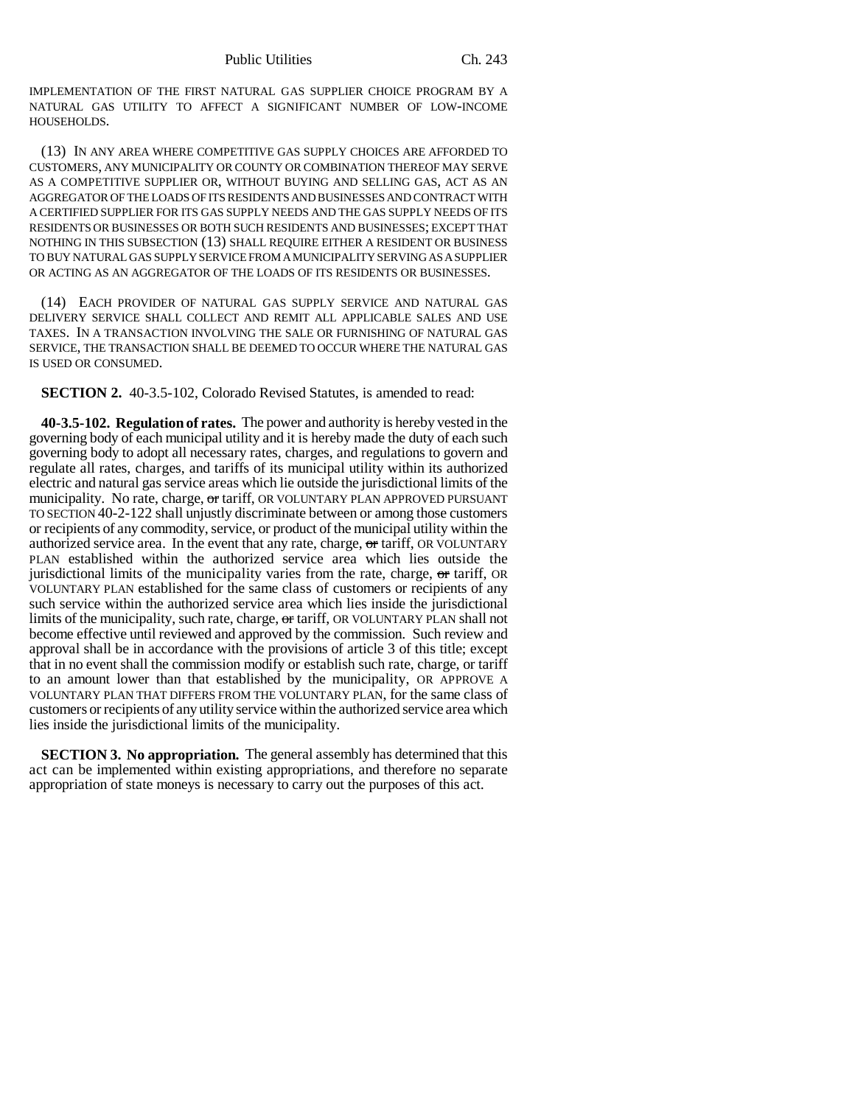IMPLEMENTATION OF THE FIRST NATURAL GAS SUPPLIER CHOICE PROGRAM BY A NATURAL GAS UTILITY TO AFFECT A SIGNIFICANT NUMBER OF LOW-INCOME HOUSEHOLDS.

(13) IN ANY AREA WHERE COMPETITIVE GAS SUPPLY CHOICES ARE AFFORDED TO CUSTOMERS, ANY MUNICIPALITY OR COUNTY OR COMBINATION THEREOF MAY SERVE AS A COMPETITIVE SUPPLIER OR, WITHOUT BUYING AND SELLING GAS, ACT AS AN AGGREGATOR OF THE LOADS OF ITS RESIDENTS AND BUSINESSES AND CONTRACT WITH A CERTIFIED SUPPLIER FOR ITS GAS SUPPLY NEEDS AND THE GAS SUPPLY NEEDS OF ITS RESIDENTS OR BUSINESSES OR BOTH SUCH RESIDENTS AND BUSINESSES; EXCEPT THAT NOTHING IN THIS SUBSECTION (13) SHALL REQUIRE EITHER A RESIDENT OR BUSINESS TO BUY NATURAL GAS SUPPLY SERVICE FROM A MUNICIPALITY SERVING AS A SUPPLIER OR ACTING AS AN AGGREGATOR OF THE LOADS OF ITS RESIDENTS OR BUSINESSES.

(14) EACH PROVIDER OF NATURAL GAS SUPPLY SERVICE AND NATURAL GAS DELIVERY SERVICE SHALL COLLECT AND REMIT ALL APPLICABLE SALES AND USE TAXES. IN A TRANSACTION INVOLVING THE SALE OR FURNISHING OF NATURAL GAS SERVICE, THE TRANSACTION SHALL BE DEEMED TO OCCUR WHERE THE NATURAL GAS IS USED OR CONSUMED.

**SECTION 2.** 40-3.5-102, Colorado Revised Statutes, is amended to read:

**40-3.5-102. Regulation of rates.** The power and authority is hereby vested in the governing body of each municipal utility and it is hereby made the duty of each such governing body to adopt all necessary rates, charges, and regulations to govern and regulate all rates, charges, and tariffs of its municipal utility within its authorized electric and natural gas service areas which lie outside the jurisdictional limits of the municipality. No rate, charge, or tariff, OR VOLUNTARY PLAN APPROVED PURSUANT TO SECTION 40-2-122 shall unjustly discriminate between or among those customers or recipients of any commodity, service, or product of the municipal utility within the authorized service area. In the event that any rate, charge, or tariff, OR VOLUNTARY PLAN established within the authorized service area which lies outside the jurisdictional limits of the municipality varies from the rate, charge,  $\sigma$ r tariff, OR VOLUNTARY PLAN established for the same class of customers or recipients of any such service within the authorized service area which lies inside the jurisdictional limits of the municipality, such rate, charge, or tariff, OR VOLUNTARY PLAN shall not become effective until reviewed and approved by the commission. Such review and approval shall be in accordance with the provisions of article 3 of this title; except that in no event shall the commission modify or establish such rate, charge, or tariff to an amount lower than that established by the municipality, OR APPROVE A VOLUNTARY PLAN THAT DIFFERS FROM THE VOLUNTARY PLAN, for the same class of customers or recipients of any utility service within the authorized service area which lies inside the jurisdictional limits of the municipality.

**SECTION 3. No appropriation.** The general assembly has determined that this act can be implemented within existing appropriations, and therefore no separate appropriation of state moneys is necessary to carry out the purposes of this act.